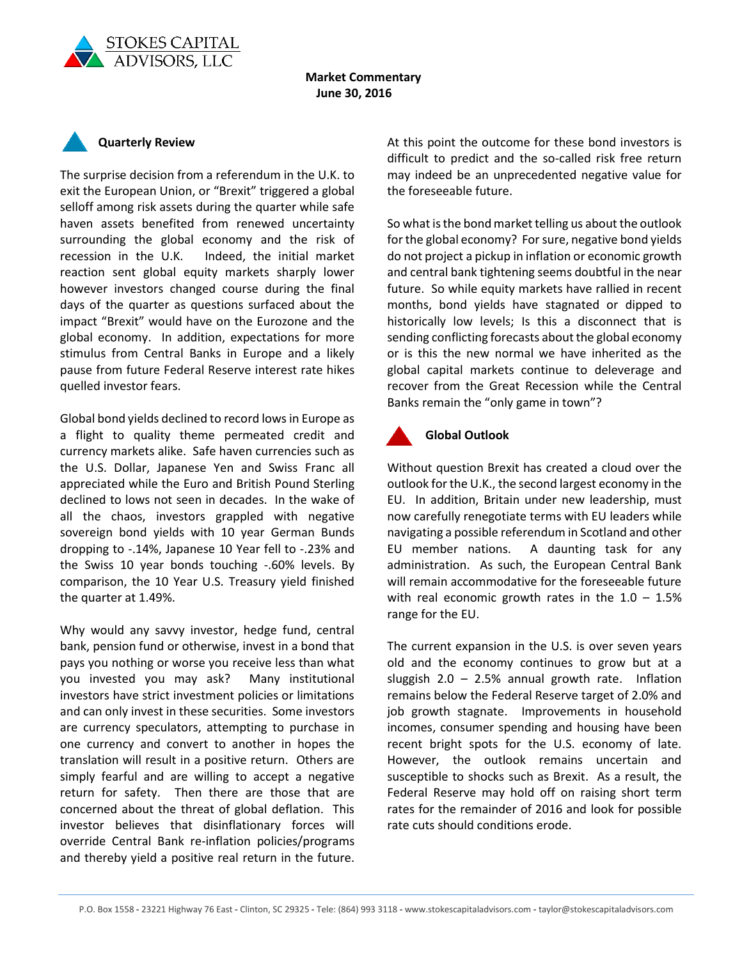

## **Market Commentary June 30, 2016**



quelled investor fears.

The surprise decision from a referendum in the U.K. to exit the European Union, or "Brexit" triggered a global selloff among risk assets during the quarter while safe haven assets benefited from renewed uncertainty surrounding the global economy and the risk of recession in the U.K. Indeed, the initial market reaction sent global equity markets sharply lower however investors changed course during the final days of the quarter as questions surfaced about the impact "Brexit" would have on the Eurozone and the global economy. In addition, expectations for more stimulus from Central Banks in Europe and a likely pause from future Federal Reserve interest rate hikes

Global bond yields declined to record lows in Europe as a flight to quality theme permeated credit and currency markets alike. Safe haven currencies such as the U.S. Dollar, Japanese Yen and Swiss Franc all appreciated while the Euro and British Pound Sterling declined to lows not seen in decades. In the wake of all the chaos, investors grappled with negative sovereign bond yields with 10 year German Bunds dropping to -.14%, Japanese 10 Year fell to -.23% and the Swiss 10 year bonds touching -.60% levels. By comparison, the 10 Year U.S. Treasury yield finished the quarter at 1.49%.

Why would any savvy investor, hedge fund, central bank, pension fund or otherwise, invest in a bond that pays you nothing or worse you receive less than what you invested you may ask? Many institutional investors have strict investment policies or limitations and can only invest in these securities. Some investors are currency speculators, attempting to purchase in one currency and convert to another in hopes the translation will result in a positive return. Others are simply fearful and are willing to accept a negative return for safety. Then there are those that are concerned about the threat of global deflation. This investor believes that disinflationary forces will override Central Bank re-inflation policies/programs and thereby yield a positive real return in the future. At this point the outcome for these bond investors is difficult to predict and the so-called risk free return may indeed be an unprecedented negative value for the foreseeable future.

So what is the bond market telling us about the outlook for the global economy? For sure, negative bond yields do not project a pickup in inflation or economic growth and central bank tightening seems doubtful in the near future. So while equity markets have rallied in recent months, bond yields have stagnated or dipped to historically low levels; Is this a disconnect that is sending conflicting forecasts about the global economy or is this the new normal we have inherited as the global capital markets continue to deleverage and recover from the Great Recession while the Central Banks remain the "only game in town"?



## **Global Outlook**

Without question Brexit has created a cloud over the outlook for the U.K., the second largest economy in the EU. In addition, Britain under new leadership, must now carefully renegotiate terms with EU leaders while navigating a possible referendum in Scotland and other EU member nations. A daunting task for any administration. As such, the European Central Bank will remain accommodative for the foreseeable future with real economic growth rates in the  $1.0 - 1.5%$ range for the EU.

The current expansion in the U.S. is over seven years old and the economy continues to grow but at a sluggish 2.0 – 2.5% annual growth rate. Inflation remains below the Federal Reserve target of 2.0% and job growth stagnate. Improvements in household incomes, consumer spending and housing have been recent bright spots for the U.S. economy of late. However, the outlook remains uncertain and susceptible to shocks such as Brexit. As a result, the Federal Reserve may hold off on raising short term rates for the remainder of 2016 and look for possible rate cuts should conditions erode.